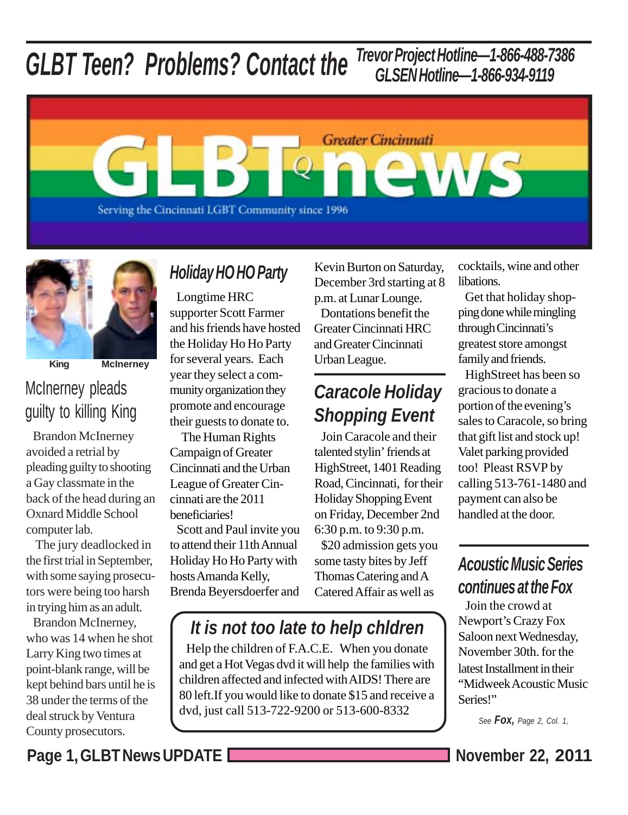### *GLBT Teen? Problems? Contact the Trevor Project Hotline—1-866-488-7386 GLSEN Hotline—1-866-934-9119*





**King McInerney**

# McInerney pleads guilty to killing King

 Brandon McInerney avoided a retrial by pleading guilty to shooting a Gay classmate in the back of the head during an Oxnard Middle School computer lab.

 The jury deadlocked in the first trial in September, with some saying prosecutors were being too harsh in trying him as an adult.

 Brandon McInerney, who was 14 when he shot Larry King two times at point-blank range, will be kept behind bars until he is 38 under the terms of the deal struck by Ventura County prosecutors.

# *Holiday HO HO Party*

 Longtime HRC supporter Scott Farmer and his friends have hosted the Holiday Ho Ho Party for several years. Each year they select a community organization they promote and encourage their guests to donate to.

 The Human Rights Campaign of Greater Cincinnati and the Urban League of Greater Cincinnati are the 2011 beneficiaries!

 Scott and Paul invite you to attend their 11th Annual Holiday Ho Ho Party with hosts Amanda Kelly, Brenda Beyersdoerfer and

Kevin Burton on Saturday, December 3rd starting at 8 p.m. at Lunar Lounge.

 Dontations benefit the Greater Cincinnati HRC and Greater Cincinnati Urban League.

# *Caracole Holiday Shopping Event*

 Join Caracole and their talented stylin' friends at HighStreet, 1401 Reading Road, Cincinnati, for their Holiday Shopping Event on Friday, December 2nd 6:30 p.m. to 9:30 p.m. \$20 admission gets you some tasty bites by Jeff Thomas Catering and A Catered Affair as well as

*It is not too late to help chldren*

 Help the children of F.A.C.E. When you donate and get a Hot Vegas dvd it will help the families with children affected and infected with AIDS! There are 80 left.If you would like to donate \$15 and receive a dvd, just call 513-722-9200 or 513-600-8332

cocktails, wine and other **libations** 

 Get that holiday shopping done while mingling through Cincinnati's greatest store amongst family and friends.

 HighStreet has been so gracious to donate a portion of the evening's sales to Caracole, so bring that gift list and stock up! Valet parking provided too! Pleast RSVP by calling 513-761-1480 and payment can also be handled at the door.

# *Acoustic Music Series continues at the Fox*

 Join the crowd at Newport's Crazy Fox Saloon next Wednesday, November 30th. for the latest Installment in their "Midweek Acoustic Music Series!"

*See Fox, Page 2, Col. 1,*

Page 1, GLBT News UPDATE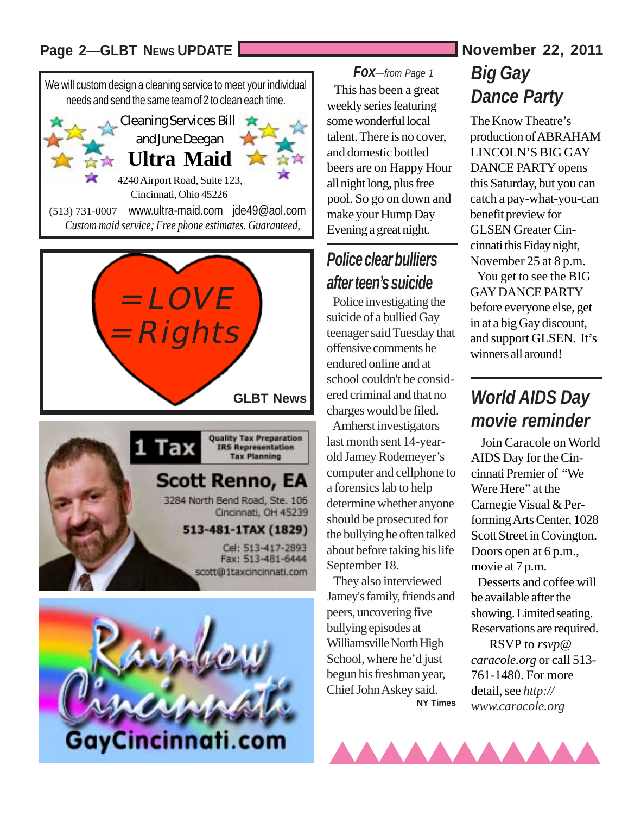### Page 2-GLBT News UPDATE **News** UPDATE **November 22, 2011**









#### *Fox—from Page 1*

 This has been a great weekly series featuring some wonderful local talent. There is no cover, and domestic bottled beers are on Happy Hour all night long, plus free pool. So go on down and make your Hump Day Evening a great night.

# *Police clear bulliers after teen's suicide*

 Police investigating the suicide of a bullied Gay teenager said Tuesday that offensive comments he endured online and at school couldn't be considered criminal and that no charges would be filed.

 Amherst investigators last month sent 14-yearold Jamey Rodemeyer's computer and cellphone to a forensics lab to help determine whether anyone should be prosecuted for the bullying he often talked about before taking his life September 18.

 They also interviewed Jamey's family, friends and peers, uncovering five bullying episodes at Williamsville North High School, where he'd just begun his freshman year, Chief John Askey said.  **NY Times**

## *Big Gay Dance Party*

The Know Theatre's production of ABRAHAM LINCOLN'S BIG GAY DANCE PARTY opens this Saturday, but you can catch a pay-what-you-can benefit preview for GLSEN Greater Cincinnati this Fiday night, November 25 at 8 p.m. You get to see the BIG GAY DANCE PARTY before everyone else, get in at a big Gay discount, and support GLSEN. It's winners all around!

# *World AIDS Day movie reminder*

 Join Caracole on World AIDS Day for the Cincinnati Premier of "We Were Here" at the Carnegie Visual & Performing Arts Center, 1028 Scott Street in Covington. Doors open at 6 p.m., movie at 7 p.m.

 Desserts and coffee will be available after the showing. Limited seating. Reservations are required.

 RSVP to *rsvp@ caracole.org* or call 513- 761-1480. For more detail, see *http:// www.caracole.org*

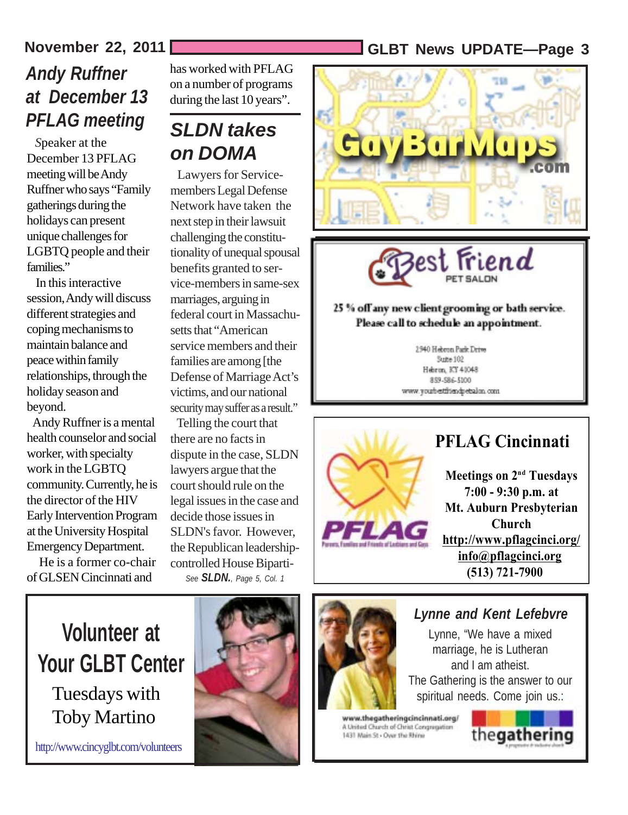### **November 22, 2011 GLBT News UPDATE—Page 3**

# *Andy Ruffner at December 13 PFLAG meeting*

 *S*peaker at the December 13 PFLAG meeting will be Andy Ruffner who says "Family gatherings during the holidays can present unique challenges for LGBTQ people and their families."

 In this interactive session, Andy will discuss different strategies and coping mechanisms to maintain balance and peace within family relationships, through the holiday season and beyond.

 Andy Ruffner is a mental health counselor and social worker, with specialty work in the LGBTQ community. Currently, he is the director of the HIV Early Intervention Program at the University Hospital Emergency Department.

 He is a former co-chair of GLSEN Cincinnati and

has worked with PFLAG on a number of programs during the last 10 years".

# *SLDN takes on DOMA*

 Lawyers for Servicemembers Legal Defense Network have taken the next step in their lawsuit challenging the constitutionality of unequal spousal benefits granted to service-members in same-sex marriages, arguing in federal court in Massachusetts that "American service members and their families are among [the Defense of Marriage Act's victims, and our national security may suffer as a result."

 Telling the court that there are no facts in dispute in the case, SLDN lawyers argue that the court should rule on the legal issues in the case and decide those issues in SLDN's favor. However, the Republican leadershipcontrolled House Biparti-*See SLDN., Page 5, Col. 1*



3est Friend

#### 25 % off any new client grooming or bath service. Please call to schedule an appointment.

2940 Hebron Park Drive Strew 102 Hebron, RY 41048 859-586-5100 www.youtbestfriendpetsalon.com



### **PFLAG Cincinnati**

**Meetings on 2<sup>nd</sup> Tuesdays 7:00 - 9:30 p.m. at Mt. Auburn Presbyterian Church http://www.pflagcinci.org/ info@pflagcinci.org (513) 721-7900**

# **Volunteer at Your GLBT Center**

Tuesdays with Toby Martino

http://www.cincyglbt.com/volunteers





#### *Lynne and Kent Lefebvre*

Lynne, "We have a mixed marriage, he is Lutheran and I am atheist. The Gathering is the answer to our spiritual needs. Come join us.:

www.thegatheringcincinnati.org/ A United Church of Christ Congregation 1431 Main St - Over the Rhine

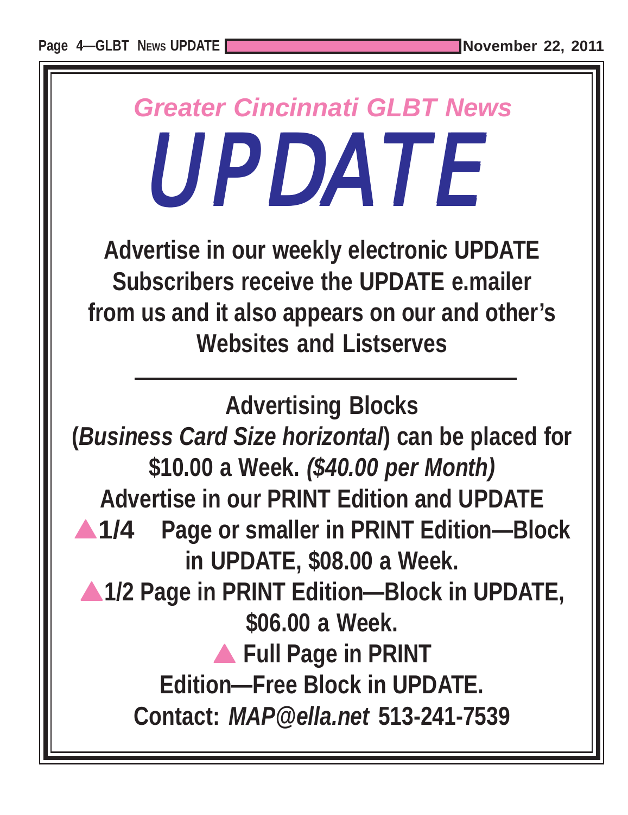